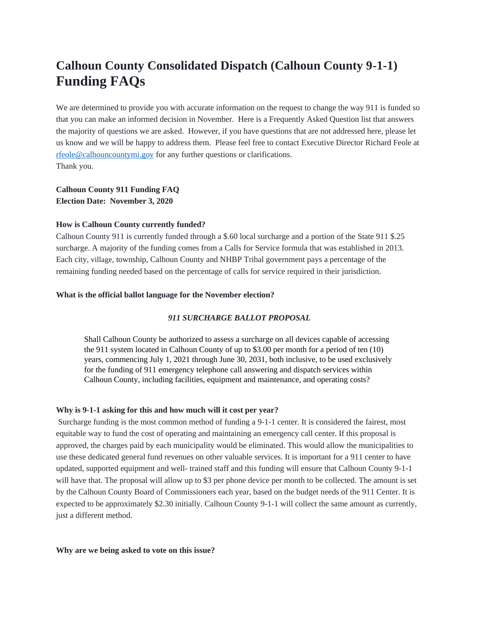# **Calhoun County Consolidated Dispatch (Calhoun County 9-1-1) Funding FAQs**

We are determined to provide you with accurate information on the request to change the way 911 is funded so that you can make an informed decision in November. Here is a Frequently Asked Question list that answers the majority of questions we are asked. However, if you have questions that are not addressed here, please let us know and we will be happy to address them. Please feel free to contact Executive Director Richard Feole at [rfeole@calhouncountymi.gov](mailto:rfeole@calhouncountymi.gov) for any further questions or clarifications. Thank you.

**Calhoun County 911 Funding FAQ Election Date: November 3, 2020**

## **How is Calhoun County currently funded?**

Calhoun County 911 is currently funded through a \$.60 local surcharge and a portion of the State 911 \$.25 surcharge. A majority of the funding comes from a Calls for Service formula that was established in 2013. Each city, village, township, Calhoun County and NHBP Tribal government pays a percentage of the remaining funding needed based on the percentage of calls for service required in their jurisdiction.

# **What is the official ballot language for the November election?**

# *911 SURCHARGE BALLOT PROPOSAL*

Shall Calhoun County be authorized to assess a surcharge on all devices capable of accessing the 911 system located in Calhoun County of up to \$3.00 per month for a period of ten (10) years, commencing July 1, 2021 through June 30, 2031, both inclusive, to be used exclusively for the funding of 911 emergency telephone call answering and dispatch services within Calhoun County, including facilities, equipment and maintenance, and operating costs?

## **Why is 9-1-1 asking for this and how much will it cost per year?**

Surcharge funding is the most common method of funding a 9-1-1 center. It is considered the fairest, most equitable way to fund the cost of operating and maintaining an emergency call center. If this proposal is approved, the charges paid by each municipality would be eliminated. This would allow the municipalities to use these dedicated general fund revenues on other valuable services. It is important for a 911 center to have updated, supported equipment and well- trained staff and this funding will ensure that Calhoun County 9-1-1 will have that. The proposal will allow up to \$3 per phone device per month to be collected. The amount is set by the Calhoun County Board of Commissioners each year, based on the budget needs of the 911 Center. It is expected to be approximately \$2.30 initially. Calhoun County 9-1-1 will collect the same amount as currently, just a different method.

#### **Why are we being asked to vote on this issue?**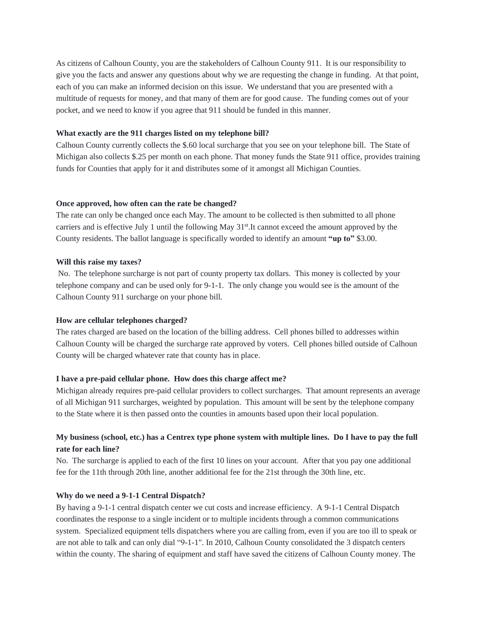As citizens of Calhoun County, you are the stakeholders of Calhoun County 911. It is our responsibility to give you the facts and answer any questions about why we are requesting the change in funding. At that point, each of you can make an informed decision on this issue. We understand that you are presented with a multitude of requests for money, and that many of them are for good cause. The funding comes out of your pocket, and we need to know if you agree that 911 should be funded in this manner.

# **What exactly are the 911 charges listed on my telephone bill?**

Calhoun County currently collects the \$.60 local surcharge that you see on your telephone bill. The State of Michigan also collects \$.25 per month on each phone. That money funds the State 911 office, provides training funds for Counties that apply for it and distributes some of it amongst all Michigan Counties.

#### **Once approved, how often can the rate be changed?**

The rate can only be changed once each May. The amount to be collected is then submitted to all phone carriers and is effective July 1 until the following May 31<sup>st</sup>.It cannot exceed the amount approved by the County residents. The ballot language is specifically worded to identify an amount **"up to"** \$3.00.

### **Will this raise my taxes?**

No. The telephone surcharge is not part of county property tax dollars. This money is collected by your telephone company and can be used only for 9-1-1. The only change you would see is the amount of the Calhoun County 911 surcharge on your phone bill.

# **How are cellular telephones charged?**

The rates charged are based on the location of the billing address. Cell phones billed to addresses within Calhoun County will be charged the surcharge rate approved by voters. Cell phones billed outside of Calhoun County will be charged whatever rate that county has in place.

# **I have a pre-paid cellular phone. How does this charge affect me?**

Michigan already requires pre-paid cellular providers to collect surcharges. That amount represents an average of all Michigan 911 surcharges, weighted by population. This amount will be sent by the telephone company to the State where it is then passed onto the counties in amounts based upon their local population.

# **My business (school, etc.) has a Centrex type phone system with multiple lines. Do I have to pay the full rate for each line?**

No. The surcharge is applied to each of the first 10 lines on your account. After that you pay one additional fee for the 11th through 20th line, another additional fee for the 21st through the 30th line, etc.

#### **Why do we need a 9-1-1 Central Dispatch?**

By having a 9-1-1 central dispatch center we cut costs and increase efficiency. A 9-1-1 Central Dispatch coordinates the response to a single incident or to multiple incidents through a common communications system. Specialized equipment tells dispatchers where you are calling from, even if you are too ill to speak or are not able to talk and can only dial "9-1-1". In 2010, Calhoun County consolidated the 3 dispatch centers within the county. The sharing of equipment and staff have saved the citizens of Calhoun County money. The